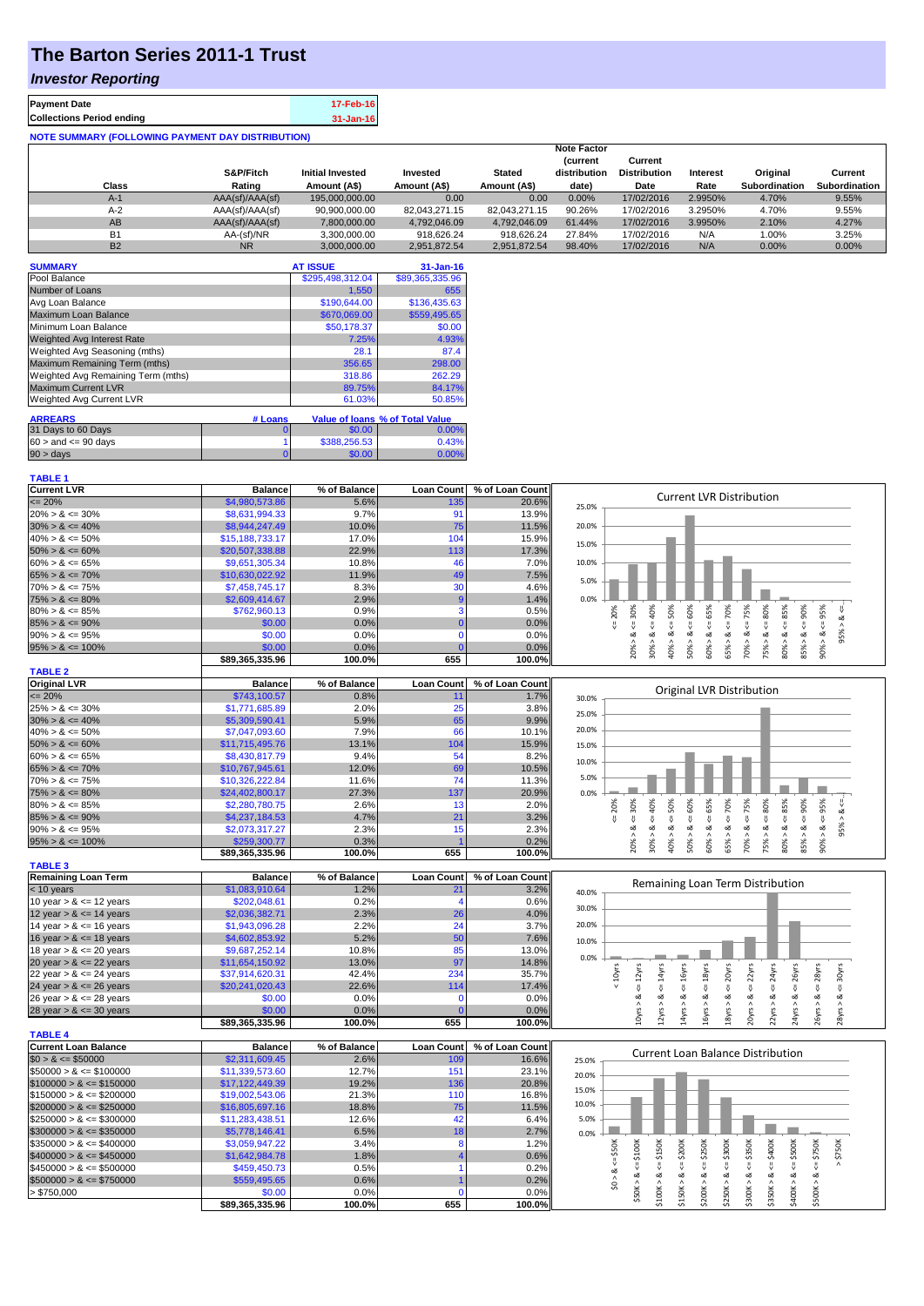## **The Barton Series 2011-1 Trust**

## *Investor Reporting*

| <b>Payment Date</b>                                      | 17-Feb-16 |  |  |  |  |  |
|----------------------------------------------------------|-----------|--|--|--|--|--|
| <b>Collections Period ending</b>                         | 31-Jan-16 |  |  |  |  |  |
| <b>NOTE SUMMARY (FOLLOWING PAYMENT DAY DISTRIBUTION)</b> |           |  |  |  |  |  |

|           |                 |                         |               |               | <b>Note Factor</b><br><b>Current</b> | Current             |          |                      |                      |
|-----------|-----------------|-------------------------|---------------|---------------|--------------------------------------|---------------------|----------|----------------------|----------------------|
|           | S&P/Fitch       | <b>Initial Invested</b> | Invested      | <b>Stated</b> | distribution                         | <b>Distribution</b> | Interest | Original             | Current              |
| Class     | Rating          | Amount (A\$)            | Amount (A\$)  | Amount (A\$)  | date)                                | Date                | Rate     | <b>Subordination</b> | <b>Subordination</b> |
| $A-1$     | AAA(sf)/AAA(sf) | 195,000,000,00          | 0.00          | 0.00          | 0.00%                                | 17/02/2016          | 2.9950%  | 4.70%                | 9.55%                |
| $A-2$     | AAA(sf)/AAA(sf) | 90,900,000.00           | 82.043.271.15 | 82.043.271.15 | 90.26%                               | 17/02/2016          | 3.2950%  | 4.70%                | 9.55%                |
| AB        | AAA(sf)/AAA(sf) | 7.800.000.00            | 4.792.046.09  | 4.792.046.09  | 61.44%                               | 17/02/2016          | 3.9950%  | 2.10%                | 4.27%                |
| <b>B1</b> | AA-(sf)/NR      | 3.300.000.00            | 918.626.24    | 918.626.24    | 27.84%                               | 17/02/2016          | N/A      | 1.00%                | 3.25%                |
| <b>B2</b> | <b>NR</b>       | 3.000.000.00            | 2.951.872.54  | 2.951.872.54  | 98.40%                               | 17/02/2016          | N/A      | $0.00\%$             | 0.00%                |

| <b>SUMMARY</b>                     |         | <b>AT ISSUE</b>  | $31 - Jan-16$                          |
|------------------------------------|---------|------------------|----------------------------------------|
| Pool Balance                       |         | \$295,498,312.04 | \$89,365,335.96                        |
| Number of Loans                    |         | 1.550            | 655                                    |
| Avg Loan Balance                   |         | \$190,644.00     | \$136.435.63                           |
| Maximum Loan Balance               |         | \$670,069.00     | \$559,495.65                           |
| Minimum Loan Balance               |         | \$50,178.37      | \$0.00                                 |
| Weighted Avg Interest Rate         |         | 7.25%            | 4.93%                                  |
| Weighted Avg Seasoning (mths)      |         | 28.1             | 87.4                                   |
| Maximum Remaining Term (mths)      |         | 356.65           | 298.00                                 |
| Weighted Avg Remaining Term (mths) |         | 318.86           | 262.29                                 |
| <b>Maximum Current LVR</b>         |         | 89.75%           | 84.17%                                 |
| Weighted Avg Current LVR           |         | 61.03%           | 50.85%                                 |
| <b>ARREARS</b>                     | # Loans |                  | <b>Value of loans % of Total Value</b> |
| 31 Days to 60 Days                 | O       | \$0.00           | 0.00%                                  |
| $60 >$ and $\leq 90$ days          |         | \$388,256.53     | 0.43%                                  |
| $90 > \text{days}$                 |         | \$0.00           | 0.00%                                  |

**\$89,365,335.96 100.0% 655 100.0%**

| <b>Current LVR</b>   | <b>Balance</b>  | % of Balance |     | Loan Count   % of Loan Count |                                             |
|----------------------|-----------------|--------------|-----|------------------------------|---------------------------------------------|
| $\leq$ 20%           | \$4,980,573.86  | 5.6%         | 135 | 20.6%                        | <b>Current LVR Distribution</b><br>25.0%    |
| $20\% > 8 \le 30\%$  | \$8,631,994.33  | 9.7%         |     | 13.9%                        |                                             |
| $30\% > 8 \le 40\%$  | \$8,944,247.49  | 10.0%        | 75  | 11.5%                        | 20.0%                                       |
| $40\% > 8 \le 50\%$  | \$15,188,733.17 | 17.0%        | 104 | 15.9%                        | 15.0%                                       |
| $50\% > 8 \le 60\%$  | \$20,507,338,88 | 22.9%        | 113 | 17.3%                        |                                             |
| $60\% > 8 \le 65\%$  | \$9,651,305.34  | 10.8%        |     | $7.0\%$                      | 10.0%                                       |
| $65\% > 8 \le 70\%$  | \$10,630,022.92 | 11.9%        | 49  | 7.5%                         | 5.0%                                        |
| $70\% > 8 \le 75\%$  | \$7,458,745.17  | 8.3%         | 30  | $4.6\%$                      |                                             |
| $75\% > 8 \le 80\%$  | \$2,609,414.67  | 2.9%         |     | 1.4%                         | 0.0%                                        |
| $80\% > 8 \le 85\%$  | \$762,960.13    | 0.9%         |     | 0.5%                         | ş59<br><u>ကိ</u><br>ĝ<br>ĝ                  |
| $85\% > 8 \le 90\%$  | \$0.00          | $0.0\%$      |     | $0.0\%$                      |                                             |
| $90\% > 8 \le 95\%$  | \$0.00          | 0.0%         |     | $0.0\%$                      |                                             |
| $95\% > 8 \le 100\%$ | \$0.00          | 0.0%         |     | $0.0\%$                      | ∝<br>å<br>ò<br>0<br>m                       |
|                      | \$89.365.335.96 | 100.0%       | 655 | 100.0%                       | <b>i</b> s<br>g<br>Ŕ<br>Š.<br>80<br>g<br>ōά |

| <b>TABLE 2</b>       |                 |              |                   |                 |       |     |              |    |    |         |                           |          |    |    |     |     |    |    |
|----------------------|-----------------|--------------|-------------------|-----------------|-------|-----|--------------|----|----|---------|---------------------------|----------|----|----|-----|-----|----|----|
| <b>Original LVR</b>  | <b>Balance</b>  | % of Balance | <b>Loan Count</b> | % of Loan Count |       |     |              |    |    |         |                           |          |    |    |     |     |    |    |
| $\leq$ 20%           | \$743,100.57    | 0.8%         |                   | 1.7%            | 30.0% |     |              |    |    |         | Original LVR Distribution |          |    |    |     |     |    |    |
| $25\% > 8 \le 30\%$  | \$1,771,685.89  | 2.0%         | 25 <sub>1</sub>   | $3.8\%$         | 25.0% |     |              |    |    |         |                           |          |    |    |     |     |    |    |
| $30\% > 8 \le 40\%$  | \$5,309,590.41  | 5.9%         | 65                | 9.9%            |       |     |              |    |    |         |                           |          |    |    |     |     |    |    |
| $40\% > 8 \le 50\%$  | \$7,047,093.60  | 7.9%         | 66                | 10.1%           | 20.0% |     |              |    |    |         |                           |          |    |    |     |     |    |    |
| $50\% > 8 \le 60\%$  | \$11,715,495.76 | 13.1%        | 104               | 15.9%           | 15.0% |     |              |    |    |         |                           |          |    |    |     |     |    |    |
| $60\% > 8 \le 65\%$  | \$8,430,817.79  | 9.4%         | 54                | 8.2%            | 10.0% |     |              |    |    |         |                           |          |    |    |     |     |    |    |
| $65\% > 8 \le 70\%$  | \$10,767,945.61 | 12.0%        | 69                | 10.5%           |       |     |              |    |    |         |                           |          |    |    |     |     |    |    |
| $70\% > 8 \le 75\%$  | \$10.326.222.84 | 11.6%        | 74                | 11.3%           | 5.0%  |     |              |    |    |         |                           |          |    |    |     |     |    |    |
| $75\% > 8 \le 80\%$  | \$24,402,800.17 | 27.3%        | 137               | 20.9%           | 0.0%  |     |              |    |    |         |                           |          |    |    |     |     |    |    |
| $80\% > 8 \le 85\%$  | \$2,280,780.75  | 2.6%         |                   | 2.0%            |       | 20% | 30%          | ₫  | š, | š,      | î\$                       | ğ        |    | šõ | 85% | 90% | 5% |    |
| $85\% > 8 \le 90\%$  | \$4,237,184.53  | 4.7%         | 21                | 3.2%            |       |     |              |    |    |         |                           |          |    |    |     |     |    |    |
| $90\% > 8 \le 95\%$  | \$2,073,317,27  | 2.3%         |                   | 2.3%            |       |     | ∝            | ∞  | ∝  |         |                           |          | oΖ | œ  | ∞   | ∞   | ∞  | ġ, |
| $95\% > 8 \le 100\%$ | \$259,300.77    | 0.3%         |                   | 0.2%            |       |     | $20^{\circ}$ | ×, |    | $\circ$ | െ                         | ∝<br>LO. |    | ∝  | ×   | ৯   |    |    |
|                      | \$89,365,335.96 | 100.0%       | 655               | 100.0%          |       |     |              | Ř  | ₽  |         | Š.                        | ິດ       | Ŕ  | Ŕ  | 8   | 55  |    |    |

| <b>TABLE 3</b>             |                 |              |                   |                 |       |
|----------------------------|-----------------|--------------|-------------------|-----------------|-------|
| <b>Remaining Loan Term</b> | <b>Balance</b>  | % of Balance | <b>Loan Count</b> | % of Loan Count |       |
| $<$ 10 years               | \$1,083,910.64  | 1.2%         | 21                | 3.2%            | 40.0% |
| 10 year $> 8 \le 12$ years | \$202,048.61    | 0.2%         |                   | 0.6%            |       |
| 12 year $> 8 \le 14$ years | \$2,036,382.71  | 2.3%         | 26                | 4.0%            | 30.0% |
| 14 year $> 8 \le 16$ years | \$1,943,096.28  | 2.2%         | 24                | 3.7%            | 20.0% |
| 16 year $> 8 \le 18$ years | \$4,602,853.92  | 5.2%         | 50                | 7.6%            | 10.0% |
| 18 year $> 8 \le 20$ years | \$9,687,252.14  | 10.8%        | 85                | 13.0%           |       |
| 20 year $> 8 \le 22$ years | \$11,654,150.92 | $13.0\%$     | 97                | 14.8%           | 0.0%  |
| 22 year $> 8 \le 24$ years | \$37,914,620.31 | 42.4%        | 234               | 35.7%           |       |
| 24 year $> 8 \le 26$ years | \$20,241,020.43 | 22.6%        | 114               | 17.4%           |       |
| 26 year $> 8 \le 28$ years | \$0.00          | 0.0%         |                   | 0.0%            |       |
| 28 year $> 8 \le 30$ years | \$0.00          | $0.0\%$      |                   | 0.0%            |       |

**\$89,365,335.96 100.0% 655 100.0%**



|                             | <b>POJ,JUJ,JJJ.JU</b> | 100.076      | ບບບ               | 100.070         |       | −      | -    |        |              |      |        |                                   |    |     |  |
|-----------------------------|-----------------------|--------------|-------------------|-----------------|-------|--------|------|--------|--------------|------|--------|-----------------------------------|----|-----|--|
| <b>TABLE 4</b>              |                       |              |                   |                 |       |        |      |        |              |      |        |                                   |    |     |  |
| <b>Current Loan Balance</b> | <b>Balance</b>        | % of Balance | <b>Loan Count</b> | % of Loan Count |       |        |      |        |              |      |        | Current Loan Balance Distribution |    |     |  |
| $$0 > 8 \leq $50000$        | \$2,311,609.45        | 2.6%         | 109               | 16.6%           | 25.0% |        |      |        |              |      |        |                                   |    |     |  |
| $$50000 > 8 \leq $100000$   | \$11,339,573.60       | 12.7%        | 15 <sup>′</sup>   | 23.1%           | 20.0% |        |      |        |              |      |        |                                   |    |     |  |
| $$100000 > 8 \leq $150000$  | \$17,122,449.39       | 19.2%        | 136               | 20.8%           | 15.0% |        |      |        |              |      |        |                                   |    |     |  |
| $$150000 > 8 \leq $200000$  | \$19,002,543.06       | 21.3%        | 110               | 16.8%           |       |        |      |        |              |      |        |                                   |    |     |  |
| $$200000 > 8 \leq $250000$  | \$16,805,697.16       | 18.8%        | 75                | 11.5%           | 10.0% |        |      |        |              |      |        |                                   |    |     |  |
| $$250000 > 8 \leq $300000$  | \$11,283,438.51       | 12.6%        |                   | 6.4%            | 5.0%  |        |      |        |              |      |        |                                   |    |     |  |
| $$300000 > 8 \leq $350000$  | \$5,778,146.41        | 6.5%         |                   | 2.7%            | 0.0%  |        |      |        |              |      |        |                                   |    |     |  |
| $$350000 > 8 \leq $400000$  | \$3,059,947.22        | 3.4%         |                   | 1.2%            |       |        | ន្លី | \$200K | š            | 300K | \$350K | ÖК                                | õЖ | ន្ត |  |
| $$400000 > 8 \leq $450000$  | \$1,642,984,78        | 1.8%         |                   | 0.6%            |       | $\sim$ |      |        | $\sim$<br>÷ó | ÷ň   |        |                                   | ۰ń | ٠Ö٦ |  |
| $$450000 > 8 \leq $500000$  | \$459,450.73          | 0.5%         |                   | 0.2%            |       |        |      |        |              |      |        |                                   |    |     |  |
| $$500000 > 8 \leq $750000$  | \$559,495.65          | 0.6%         |                   | 0.2%            |       |        |      |        |              |      | ಯ      | ∾                                 | ەە |     |  |
| > \$750,000                 | \$0.00                | 0.0%         |                   | 0.0%            |       |        |      |        |              |      |        |                                   |    |     |  |
|                             | \$89.365.335.96       | 100.0%       | 655               | 100.0%          |       |        |      |        |              |      |        |                                   |    |     |  |